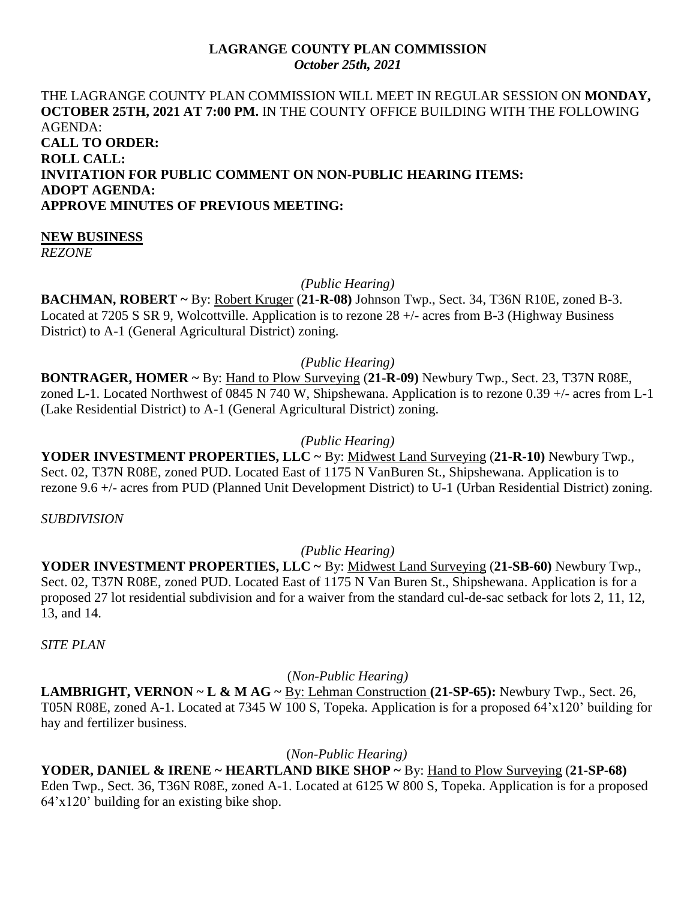### **LAGRANGE COUNTY PLAN COMMISSION** *October 25th, 2021*

## THE LAGRANGE COUNTY PLAN COMMISSION WILL MEET IN REGULAR SESSION ON **MONDAY, OCTOBER 25TH, 2021 AT 7:00 PM.** IN THE COUNTY OFFICE BUILDING WITH THE FOLLOWING AGENDA: **CALL TO ORDER: ROLL CALL: INVITATION FOR PUBLIC COMMENT ON NON-PUBLIC HEARING ITEMS: ADOPT AGENDA: APPROVE MINUTES OF PREVIOUS MEETING:**

### **NEW BUSINESS**

*REZONE*

*(Public Hearing)*

**BACHMAN, ROBERT ~** By: Robert Kruger (**21-R-08)** Johnson Twp., Sect. 34, T36N R10E, zoned B-3. Located at 7205 S SR 9, Wolcottville. Application is to rezone 28 +/- acres from B-3 (Highway Business District) to A-1 (General Agricultural District) zoning.

# *(Public Hearing)*

**BONTRAGER, HOMER ~** By: Hand to Plow Surveying (**21-R-09)** Newbury Twp., Sect. 23, T37N R08E, zoned L-1. Located Northwest of 0845 N 740 W, Shipshewana. Application is to rezone 0.39 +/- acres from L-1 (Lake Residential District) to A-1 (General Agricultural District) zoning.

## *(Public Hearing)*

**YODER INVESTMENT PROPERTIES, LLC ~** By: Midwest Land Surveying (**21-R-10)** Newbury Twp., Sect. 02, T37N R08E, zoned PUD. Located East of 1175 N VanBuren St., Shipshewana. Application is to rezone 9.6 +/- acres from PUD (Planned Unit Development District) to U-1 (Urban Residential District) zoning.

*SUBDIVISION*

*(Public Hearing)*

**YODER INVESTMENT PROPERTIES, LLC ~** By: Midwest Land Surveying (**21-SB-60)** Newbury Twp., Sect. 02, T37N R08E, zoned PUD. Located East of 1175 N Van Buren St., Shipshewana. Application is for a proposed 27 lot residential subdivision and for a waiver from the standard cul-de-sac setback for lots 2, 11, 12, 13, and 14.

*SITE PLAN*

(*Non-Public Hearing)*

**LAMBRIGHT, VERNON ~ L & M AG ~** By: Lehman Construction **(21-SP-65):** Newbury Twp., Sect. 26, T05N R08E, zoned A-1. Located at 7345 W 100 S, Topeka. Application is for a proposed 64'x120' building for hay and fertilizer business.

(*Non-Public Hearing)*

**YODER, DANIEL & IRENE ~ HEARTLAND BIKE SHOP ~** By: Hand to Plow Surveying (**21-SP-68)**  Eden Twp., Sect. 36, T36N R08E, zoned A-1. Located at 6125 W 800 S, Topeka. Application is for a proposed 64'x120' building for an existing bike shop.